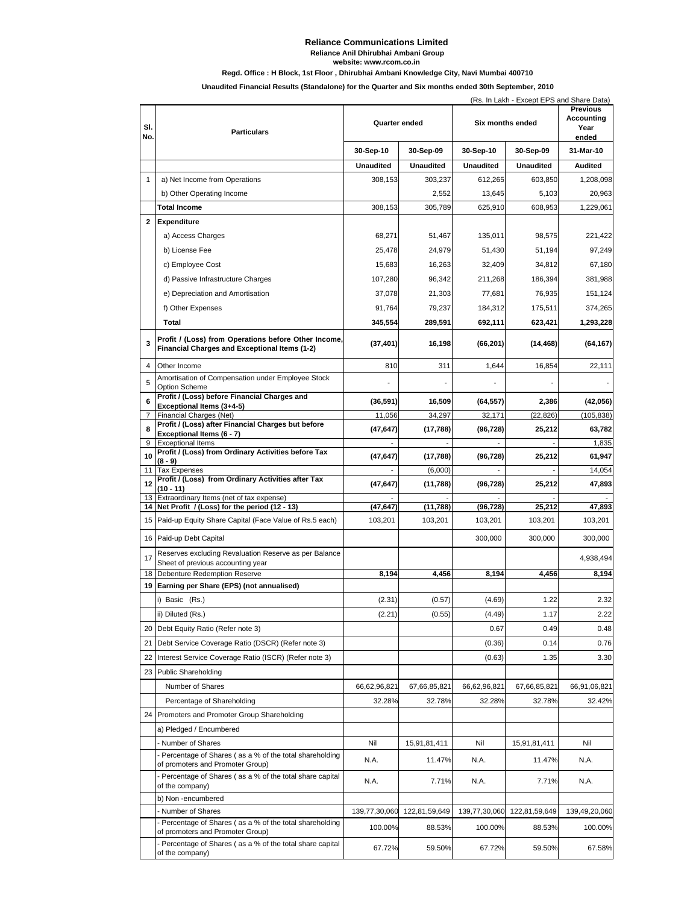#### **Reliance Communications Limited Reliance Anil Dhirubhai Ambani Group website: www.rcom.co.in**

### **Regd. Office : H Block, 1st Floor , Dhirubhai Ambani Knowledge City, Navi Mumbai 400710**

**Unaudited Financial Results (Standalone) for the Quarter and Six months ended 30th September, 2010**

|                | (Rs. In Lakh - Except EPS and Share Data)<br><b>Previous</b>                                          |                  |                  |                  |                  |                             |
|----------------|-------------------------------------------------------------------------------------------------------|------------------|------------------|------------------|------------------|-----------------------------|
| SI.<br>No.     | <b>Particulars</b>                                                                                    | Quarter ended    |                  | Six months ended |                  | Accounting<br>Year<br>ended |
|                |                                                                                                       | 30-Sep-10        | 30-Sep-09        | 30-Sep-10        | 30-Sep-09        | 31-Mar-10                   |
|                |                                                                                                       | <b>Unaudited</b> | <b>Unaudited</b> | <b>Unaudited</b> | <b>Unaudited</b> | <b>Audited</b>              |
| $\mathbf{1}$   | a) Net Income from Operations                                                                         | 308,153          | 303,237          | 612,265          | 603,850          | 1,208,098                   |
|                | b) Other Operating Income                                                                             |                  | 2,552            | 13,645           | 5,103            | 20,963                      |
|                | Total Income                                                                                          | 308,153          | 305,789          | 625,910          | 608,953          | 1,229,061                   |
| $\mathbf{2}$   | Expenditure                                                                                           |                  |                  |                  |                  |                             |
|                | a) Access Charges                                                                                     | 68,271           | 51,467           | 135,011          | 98,575           | 221,422                     |
|                | b) License Fee                                                                                        | 25,478           | 24,979           | 51,430           | 51,194           | 97,249                      |
|                | c) Employee Cost                                                                                      | 15,683           | 16,263           | 32,409           | 34,812           | 67,180                      |
|                | d) Passive Infrastructure Charges                                                                     | 107,280          | 96,342           | 211,268          | 186,394          | 381,988                     |
|                | e) Depreciation and Amortisation                                                                      | 37,078           | 21,303           | 77,681           | 76,935           | 151,124                     |
|                | f) Other Expenses                                                                                     | 91,764           | 79,237           | 184,312          | 175,511          | 374,265                     |
|                | Total                                                                                                 | 345,554          | 289,591          | 692,111          | 623,421          | 1,293,228                   |
|                |                                                                                                       |                  |                  |                  |                  |                             |
| 3              | Profit / (Loss) from Operations before Other Income,<br>Financial Charges and Exceptional Items (1-2) | (37, 401)        | 16,198           | (66, 201)        | (14, 468)        | (64, 167)                   |
| 4              | Other Income                                                                                          | 810              | 311              | 1,644            | 16,854           | 22,111                      |
| 5              | Amortisation of Compensation under Employee Stock<br><b>Option Scheme</b>                             |                  |                  |                  |                  |                             |
| 6              | Profit / (Loss) before Financial Charges and                                                          | (36, 591)        | 16,509           | (64, 557)        | 2,386            | (42,056)                    |
| $\overline{7}$ | Exceptional Items (3+4-5)<br>Financial Charges (Net)                                                  | 11,056           | 34,297           | 32,171           | (22, 826)        | (105, 838)                  |
| 8              | Profit / (Loss) after Financial Charges but before                                                    | (47, 647)        | (17, 788)        | (96, 728)        | 25,212           | 63,782                      |
|                | Exceptional Items (6 - 7)<br>9 Exceptional Items                                                      |                  |                  |                  |                  | 1,835                       |
| 10             | Profit / (Loss) from Ordinary Activities before Tax                                                   | (47, 647)        | (17, 788)        | (96, 728)        | 25,212           | 61,947                      |
|                | (8 - 9)<br>11 Tax Expenses                                                                            |                  | (6,000)          |                  |                  | 14,054                      |
| 12             | Profit / (Loss) from Ordinary Activities after Tax<br>(10 - 11)                                       | (47, 647)        | (11, 788)        | (96, 728)        | 25,212           | 47,893                      |
|                | 13 Extraordinary Items (net of tax expense)                                                           |                  |                  |                  |                  |                             |
|                | 14 Net Profit / (Loss) for the period (12 - 13)                                                       | (47, 647)        | (11,788)         | (96, 728)        | 25,212           | 47,893                      |
|                | 15 Paid-up Equity Share Capital (Face Value of Rs.5 each)                                             | 103,201          | 103,201          | 103,201          | 103,201          | 103,201                     |
|                | 16 Paid-up Debt Capital                                                                               |                  |                  | 300,000          | 300,000          | 300,000                     |
| 17             | Reserves excluding Revaluation Reserve as per Balance<br>Sheet of previous accounting year            |                  |                  |                  |                  | 4,938,494                   |
|                | 18 Debenture Redemption Reserve                                                                       | 8,194            | 4,456            | 8,194            | 4,456            | 8.194                       |
|                | 19 Earning per Share (EPS) (not annualised)                                                           |                  |                  |                  |                  |                             |
|                | i) Basic (Rs.)                                                                                        | (2.31)           | (0.57)           | (4.69)           | 1.22             | 2.32                        |
|                | ii) Diluted (Rs.)                                                                                     | (2.21)           | (0.55)           | (4.49)           | 1.17             | 2.22                        |
|                | 20 Debt Equity Ratio (Refer note 3)                                                                   |                  |                  | 0.67             | 0.49             | 0.48                        |
|                | 21 Debt Service Coverage Ratio (DSCR) (Refer note 3)                                                  |                  |                  | (0.36)           | 0.14             | 0.76                        |
|                | 22 Interest Service Coverage Ratio (ISCR) (Refer note 3)                                              |                  |                  | (0.63)           | 1.35             | 3.30                        |
|                | 23 Public Shareholding                                                                                |                  |                  |                  |                  |                             |
|                | Number of Shares                                                                                      | 66,62,96,821     | 67,66,85,821     | 66,62,96,821     | 67,66,85,821     | 66,91,06,821                |
|                | Percentage of Shareholding                                                                            | 32.28%           | 32.78%           | 32.28%           | 32.78%           | 32.42%                      |
|                | 24 Promoters and Promoter Group Shareholding                                                          |                  |                  |                  |                  |                             |
|                | a) Pledged / Encumbered                                                                               |                  |                  |                  |                  |                             |
|                | Number of Shares                                                                                      | Nil              | 15,91,81,411     | Nil              | 15,91,81,411     | Nil                         |
|                | Percentage of Shares (as a % of the total shareholding<br>of promoters and Promoter Group)            | N.A.             | 11.47%           | N.A.             | 11.47%           | N.A.                        |
|                | - Percentage of Shares (as a % of the total share capital<br>of the company)                          | N.A.             | 7.71%            | N.A.             | 7.71%            | N.A.                        |
|                | b) Non -encumbered                                                                                    |                  |                  |                  |                  |                             |
|                | Number of Shares<br>- Percentage of Shares (as a % of the total shareholding                          | 139,77,30,060    | 122,81,59,649    | 139,77,30,060    | 122,81,59,649    | 139,49,20,060               |
|                | of promoters and Promoter Group)<br>- Percentage of Shares (as a % of the total share capital         | 100.00%          | 88.53%           | 100.00%          | 88.53%           | 100.00%                     |
|                | of the company)                                                                                       | 67.72%           | 59.50%           | 67.72%           | 59.50%           | 67.58%                      |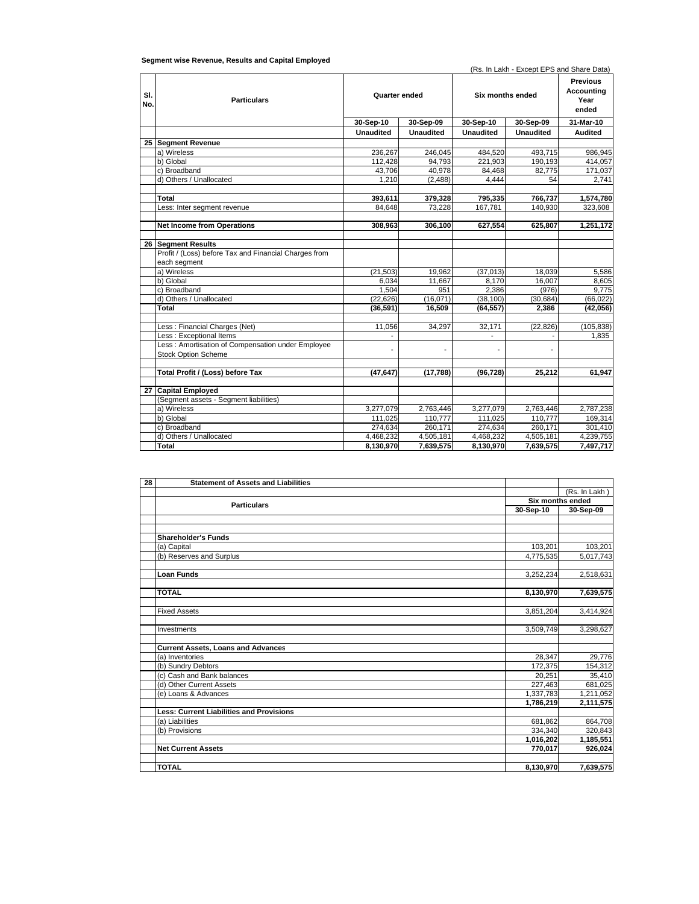### **Segment wise Revenue, Results and Capital Employed**

(Rs. In Lakh - Except EPS and Share Data)

| SI.<br>No. | <b>Particulars</b>                                    | Quarter ended    |           | Six months ended |                  | <b>Previous</b><br>Accountina<br>Year<br>ended |
|------------|-------------------------------------------------------|------------------|-----------|------------------|------------------|------------------------------------------------|
|            |                                                       | 30-Sep-10        | 30-Sep-09 | 30-Sep-10        | 30-Sep-09        | 31-Mar-10                                      |
|            |                                                       | <b>Unaudited</b> | Unaudited | <b>Unaudited</b> | <b>Unaudited</b> | <b>Audited</b>                                 |
|            | 25 Segment Revenue                                    |                  |           |                  |                  |                                                |
|            | a) Wireless                                           | 236.267          | 246.045   | 484.520          | 493.715          | 986.945                                        |
|            | b) Global                                             | 112,428          | 94,793    | 221,903          | 190,193          | 414,057                                        |
|            | c) Broadband                                          | 43,706           | 40,978    | 84,468           | 82,775           | 171,037                                        |
|            | d) Others / Unallocated                               | 1.210            | (2.488)   | 4.444            | 54               | 2.741                                          |
|            |                                                       |                  |           |                  |                  |                                                |
|            | Total                                                 | 393,611          | 379,328   | 795,335          | 766,737          | 1,574,780                                      |
|            | Less: Inter segment revenue                           | 84.648           | 73.228    | 167.781          | 140,930          | 323,608                                        |
|            |                                                       |                  |           |                  |                  |                                                |
|            | <b>Net Income from Operations</b>                     | 308,963          | 306,100   | 627,554          | 625,807          | 1,251,172                                      |
|            |                                                       |                  |           |                  |                  |                                                |
| 26         | <b>Segment Results</b>                                |                  |           |                  |                  |                                                |
|            | Profit / (Loss) before Tax and Financial Charges from |                  |           |                  |                  |                                                |
|            | each segment                                          |                  |           |                  |                  |                                                |
|            | a) Wireless                                           | (21, 503)        | 19,962    | (37,013)         | 18,039           | 5,586                                          |
|            | b) Global                                             | 6.034            | 11,667    | 8.170            | 16,007           | 8,605                                          |
|            | c) Broadband                                          | 1.504            | 951       | 2,386            | (976)            | 9,775                                          |
|            | d) Others / Unallocated                               | (22, 626)        | (16,071)  | (38, 100)        | (30, 684)        | (66, 022)                                      |
|            | Total                                                 | (36, 591)        | 16,509    | (64, 557)        | 2,386            | (42,056)                                       |
|            |                                                       |                  |           |                  |                  |                                                |
|            | Less: Financial Charges (Net)                         | 11,056           | 34,297    | 32,171           | (22, 826)        | (105, 838)                                     |
|            | Less: Exceptional Items                               |                  |           |                  |                  | 1.835                                          |
|            | Less: Amortisation of Compensation under Employee     |                  |           |                  |                  |                                                |
|            | <b>Stock Option Scheme</b>                            |                  |           |                  |                  |                                                |
|            |                                                       |                  |           |                  |                  |                                                |
|            | Total Profit / (Loss) before Tax                      | (47.647)         | (17.788)  | (96.728)         | 25.212           | 61.947                                         |
|            |                                                       |                  |           |                  |                  |                                                |
| 27         | <b>Capital Employed</b>                               |                  |           |                  |                  |                                                |
|            | (Segment assets - Segment liabilities)                |                  |           |                  |                  |                                                |
|            | a) Wireless                                           | 3,277,079        | 2,763,446 | 3,277,079        | 2,763,446        | 2,787,238                                      |
|            | b) Global                                             | 111,025          | 110,777   | 111,025          | 110,777          | 169,314                                        |
|            | c) Broadband                                          | 274,634          | 260,171   | 274,634          | 260,171          | 301,410                                        |
|            | d) Others / Unallocated                               | 4,468,232        | 4,505,181 | 4,468,232        | 4,505,181        | 4,239,755                                      |
|            | Total                                                 | 8,130,970        | 7,639,575 | 8,130,970        | 7,639,575        | 7,497,717                                      |

| 28 | <b>Statement of Assets and Liabilities</b>      |           |                  |
|----|-------------------------------------------------|-----------|------------------|
|    |                                                 |           | (Rs. In Lakh)    |
|    | <b>Particulars</b>                              |           | Six months ended |
|    |                                                 | 30-Sep-10 | 30-Sep-09        |
|    |                                                 |           |                  |
|    |                                                 |           |                  |
|    | <b>Shareholder's Funds</b>                      |           |                  |
|    | (a) Capital                                     | 103,201   | 103,201          |
|    | (b) Reserves and Surplus                        | 4,775,535 | 5,017,743        |
|    |                                                 |           |                  |
|    | <b>Loan Funds</b>                               | 3,252,234 | 2,518,631        |
|    |                                                 |           |                  |
|    | <b>TOTAL</b>                                    | 8,130,970 | 7,639,575        |
|    |                                                 |           |                  |
|    | <b>Fixed Assets</b>                             | 3,851,204 | 3,414,924        |
|    |                                                 |           |                  |
|    | Investments                                     | 3,509,749 | 3,298,627        |
|    |                                                 |           |                  |
|    | <b>Current Assets, Loans and Advances</b>       |           |                  |
|    | (a) Inventories                                 | 28,347    | 29,776           |
|    | (b) Sundry Debtors                              | 172,375   | 154,312          |
|    | (c) Cash and Bank balances                      | 20.251    | 35,410           |
|    | (d) Other Current Assets                        | 227,463   | 681,025          |
|    | (e) Loans & Advances                            | 1,337,783 | 1,211,052        |
|    |                                                 | 1.786.219 | 2,111,575        |
|    | <b>Less: Current Liabilities and Provisions</b> |           |                  |
|    | (a) Liabilities                                 | 681,862   | 864,708          |
|    | (b) Provisions                                  | 334,340   | 320,843          |
|    |                                                 | 1,016,202 | 1,185,551        |
|    | <b>Net Current Assets</b>                       | 770,017   | 926,024          |
|    |                                                 |           |                  |
|    | <b>TOTAL</b>                                    | 8,130,970 | 7,639,575        |